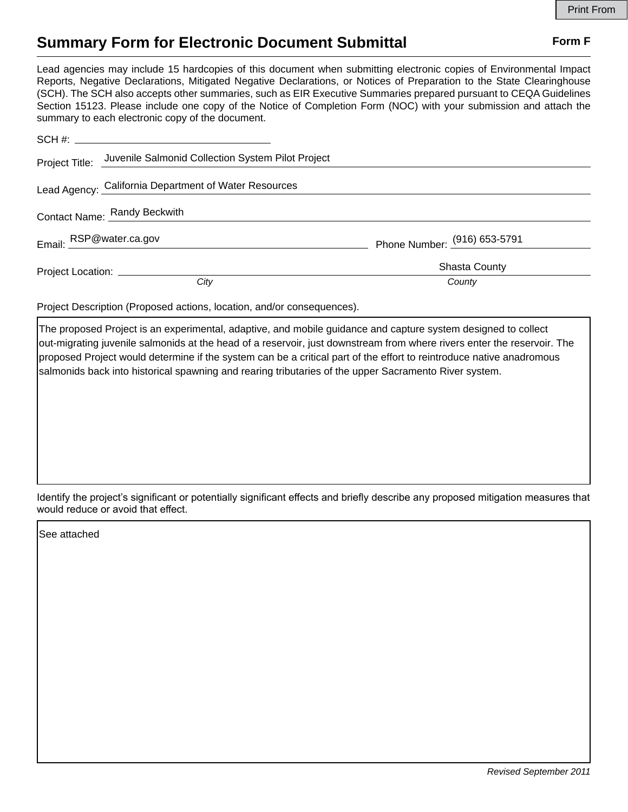## **Summary Form for Electronic Document Submittal Form F Form F**

Lead agencies may include 15 hardcopies of this document when submitting electronic copies of Environmental Impact Reports, Negative Declarations, Mitigated Negative Declarations, or Notices of Preparation to the State Clearinghouse (SCH). The SCH also accepts other summaries, such as EIR Executive Summaries prepared pursuant to CEQA Guidelines Section 15123. Please include one copy of the Notice of Completion Form (NOC) with your submission and attach the summary to each electronic copy of the document.

|                              | Project Title: Juvenile Salmonid Collection System Pilot Project |                              |
|------------------------------|------------------------------------------------------------------|------------------------------|
|                              | Lead Agency: California Department of Water Resources            |                              |
| Contact Name: Randy Beckwith |                                                                  |                              |
| Email: RSP@water.ca.gov      |                                                                  | Phone Number: (916) 653-5791 |
|                              |                                                                  | <b>Shasta County</b>         |
|                              | City                                                             | County                       |

Project Description (Proposed actions, location, and/or consequences).

The proposed Project is an experimental, adaptive, and mobile guidance and capture system designed to collect out-migrating juvenile salmonids at the head of a reservoir, just downstream from where rivers enter the reservoir. The proposed Project would determine if the system can be a critical part of the effort to reintroduce native anadromous salmonids back into historical spawning and rearing tributaries of the upper Sacramento River system.

Identify the project's significant or potentially significant effects and briefly describe any proposed mitigation measures that would reduce or avoid that effect.

See attached